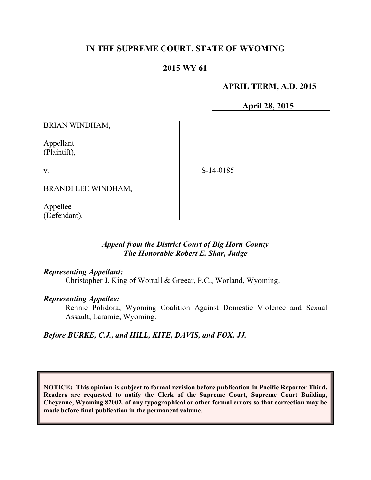# **IN THE SUPREME COURT, STATE OF WYOMING**

# **2015 WY 61**

## **APRIL TERM, A.D. 2015**

**April 28, 2015**

BRIAN WINDHAM,

Appellant (Plaintiff),

v.

S-14-0185

BRANDI LEE WINDHAM,

Appellee (Defendant).

## *Appeal from the District Court of Big Horn County The Honorable Robert E. Skar, Judge*

### *Representing Appellant:*

Christopher J. King of Worrall & Greear, P.C., Worland, Wyoming.

### *Representing Appellee:*

Rennie Polidora, Wyoming Coalition Against Domestic Violence and Sexual Assault, Laramie, Wyoming.

### *Before BURKE, C.J., and HILL, KITE, DAVIS, and FOX, JJ.*

**NOTICE: This opinion is subject to formal revision before publication in Pacific Reporter Third. Readers are requested to notify the Clerk of the Supreme Court, Supreme Court Building, Cheyenne, Wyoming 82002, of any typographical or other formal errors so that correction may be made before final publication in the permanent volume.**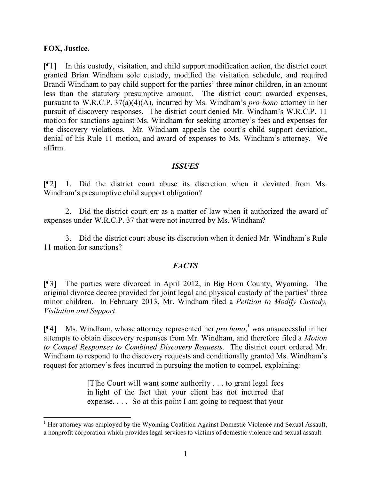### **FOX, Justice.**

[¶1] In this custody, visitation, and child support modification action, the district court granted Brian Windham sole custody, modified the visitation schedule, and required Brandi Windham to pay child support for the parties' three minor children, in an amount less than the statutory presumptive amount. The district court awarded expenses, pursuant to W.R.C.P. 37(a)(4)(A), incurred by Ms. Windham's *pro bono* attorney in her pursuit of discovery responses. The district court denied Mr. Windham's W.R.C.P. 11 motion for sanctions against Ms. Windham for seeking attorney's fees and expenses for the discovery violations. Mr. Windham appeals the court's child support deviation, denial of his Rule 11 motion, and award of expenses to Ms. Windham's attorney. We affirm.

### *ISSUES*

[¶2] 1. Did the district court abuse its discretion when it deviated from Ms. Windham's presumptive child support obligation?

2. Did the district court err as a matter of law when it authorized the award of expenses under W.R.C.P. 37 that were not incurred by Ms. Windham?

3. Did the district court abuse its discretion when it denied Mr. Windham's Rule 11 motion for sanctions?

## *FACTS*

[¶3] The parties were divorced in April 2012, in Big Horn County, Wyoming. The original divorce decree provided for joint legal and physical custody of the parties' three minor children. In February 2013, Mr. Windham filed a *Petition to Modify Custody, Visitation and Support*.

[¶4] Ms. Windham, whose attorney represented her *pro bono*, <sup>1</sup> was unsuccessful in her attempts to obtain discovery responses from Mr. Windham, and therefore filed a *Motion to Compel Responses to Combined Discovery Requests*. The district court ordered Mr. Windham to respond to the discovery requests and conditionally granted Ms. Windham's request for attorney's fees incurred in pursuing the motion to compel, explaining:

> [T]he Court will want some authority . . . to grant legal fees in light of the fact that your client has not incurred that expense. . . . So at this point I am going to request that your

  $<sup>1</sup>$  Her attorney was employed by the Wyoming Coalition Against Domestic Violence and Sexual Assault,</sup> a nonprofit corporation which provides legal services to victims of domestic violence and sexual assault.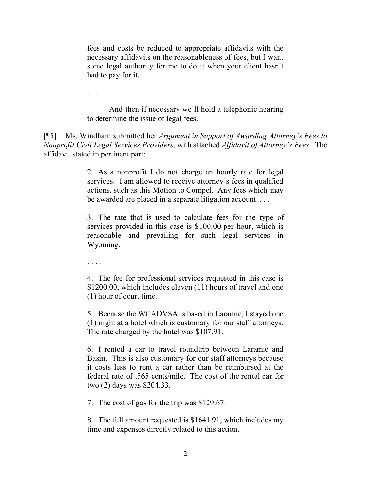fees and costs be reduced to appropriate affidavits with the necessary affidavits on the reasonableness of fees, but I want some legal authority for me to do it when your client hasn't had to pay for it.

. . . .

And then if necessary we'll hold a telephonic hearing to determine the issue of legal fees.

[¶5] Ms. Windham submitted her *Argument in Support of Awarding Attorney's Fees to Nonprofit Civil Legal Services Providers*, with attached *Affidavit of Attorney's Fees*. The affidavit stated in pertinent part:

> 2. As a nonprofit I do not charge an hourly rate for legal services. I am allowed to receive attorney's fees in qualified actions, such as this Motion to Compel. Any fees which may be awarded are placed in a separate litigation account. . . .

> 3. The rate that is used to calculate fees for the type of services provided in this case is \$100.00 per hour, which is reasonable and prevailing for such legal services in Wyoming.

. . . .

4. The fee for professional services requested in this case is \$1200.00, which includes eleven (11) hours of travel and one (1) hour of court time.

5. Because the WCADVSA is based in Laramie, I stayed one (1) night at a hotel which is customary for our staff attorneys. The rate charged by the hotel was \$107.91.

6. I rented a car to travel roundtrip between Laramie and Basin. This is also customary for our staff attorneys because it costs less to rent a car rather than be reimbursed at the federal rate of .565 cents/mile. The cost of the rental car for two (2) days was \$204.33.

7. The cost of gas for the trip was \$129.67.

8. The full amount requested is \$1641.91, which includes my time and expenses directly related to this action.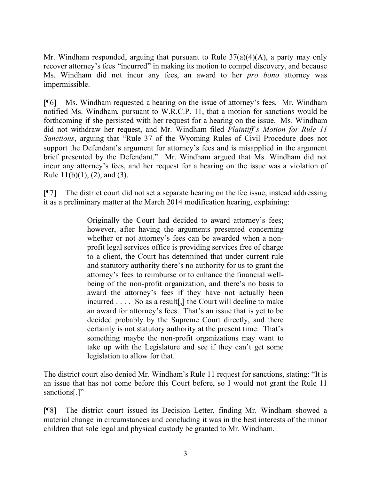Mr. Windham responded, arguing that pursuant to Rule  $37(a)(4)(A)$ , a party may only recover attorney's fees "incurred" in making its motion to compel discovery, and because Ms. Windham did not incur any fees, an award to her *pro bono* attorney was impermissible.

[¶6] Ms. Windham requested a hearing on the issue of attorney's fees. Mr. Windham notified Ms. Windham, pursuant to W.R.C.P. 11, that a motion for sanctions would be forthcoming if she persisted with her request for a hearing on the issue. Ms. Windham did not withdraw her request, and Mr. Windham filed *Plaintiff's Motion for Rule 11 Sanctions*, arguing that "Rule 37 of the Wyoming Rules of Civil Procedure does not support the Defendant's argument for attorney's fees and is misapplied in the argument brief presented by the Defendant." Mr. Windham argued that Ms. Windham did not incur any attorney's fees, and her request for a hearing on the issue was a violation of Rule  $11(b)(1)$ ,  $(2)$ , and  $(3)$ .

[¶7] The district court did not set a separate hearing on the fee issue, instead addressing it as a preliminary matter at the March 2014 modification hearing, explaining:

> Originally the Court had decided to award attorney's fees; however, after having the arguments presented concerning whether or not attorney's fees can be awarded when a nonprofit legal services office is providing services free of charge to a client, the Court has determined that under current rule and statutory authority there's no authority for us to grant the attorney's fees to reimburse or to enhance the financial wellbeing of the non-profit organization, and there's no basis to award the attorney's fees if they have not actually been incurred . . . . So as a result[,] the Court will decline to make an award for attorney's fees. That's an issue that is yet to be decided probably by the Supreme Court directly, and there certainly is not statutory authority at the present time. That's something maybe the non-profit organizations may want to take up with the Legislature and see if they can't get some legislation to allow for that.

The district court also denied Mr. Windham's Rule 11 request for sanctions, stating: "It is an issue that has not come before this Court before, so I would not grant the Rule 11 sanctions[.]"

[¶8] The district court issued its Decision Letter, finding Mr. Windham showed a material change in circumstances and concluding it was in the best interests of the minor children that sole legal and physical custody be granted to Mr. Windham.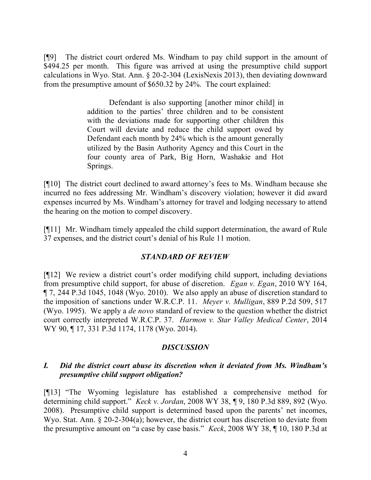[¶9] The district court ordered Ms. Windham to pay child support in the amount of \$494.25 per month. This figure was arrived at using the presumptive child support calculations in Wyo. Stat. Ann. § 20-2-304 (LexisNexis 2013), then deviating downward from the presumptive amount of \$650.32 by 24%. The court explained:

> Defendant is also supporting [another minor child] in addition to the parties' three children and to be consistent with the deviations made for supporting other children this Court will deviate and reduce the child support owed by Defendant each month by 24% which is the amount generally utilized by the Basin Authority Agency and this Court in the four county area of Park, Big Horn, Washakie and Hot Springs.

[¶10] The district court declined to award attorney's fees to Ms. Windham because she incurred no fees addressing Mr. Windham's discovery violation; however it did award expenses incurred by Ms. Windham's attorney for travel and lodging necessary to attend the hearing on the motion to compel discovery.

[¶11] Mr. Windham timely appealed the child support determination, the award of Rule 37 expenses, and the district court's denial of his Rule 11 motion.

## *STANDARD OF REVIEW*

[¶12] We review a district court's order modifying child support, including deviations from presumptive child support, for abuse of discretion. *Egan v. Egan*, 2010 WY 164, ¶ 7, 244 P.3d 1045, 1048 (Wyo. 2010). We also apply an abuse of discretion standard to the imposition of sanctions under W.R.C.P. 11. *Meyer v. Mulligan*, 889 P.2d 509, 517 (Wyo. 1995). We apply a *de novo* standard of review to the question whether the district court correctly interpreted W.R.C.P. 37. *Harmon v. Star Valley Medical Center*, 2014 WY 90, ¶ 17, 331 P.3d 1174, 1178 (Wyo. 2014).

## *DISCUSSION*

## *I. Did the district court abuse its discretion when it deviated from Ms. Windham's presumptive child support obligation?*

[¶13] "The Wyoming legislature has established a comprehensive method for determining child support." *Keck v. Jordan*, 2008 WY 38, ¶ 9, 180 P.3d 889, 892 (Wyo. 2008). Presumptive child support is determined based upon the parents' net incomes, Wyo. Stat. Ann. § 20-2-304(a); however, the district court has discretion to deviate from the presumptive amount on "a case by case basis." *Keck*, 2008 WY 38, ¶ 10, 180 P.3d at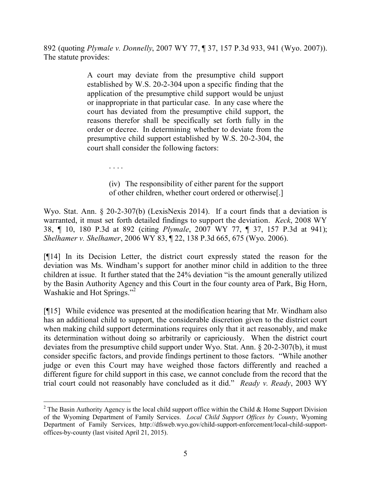892 (quoting *Plymale v. Donnelly*, 2007 WY 77, ¶ 37, 157 P.3d 933, 941 (Wyo. 2007)). The statute provides:

> A court may deviate from the presumptive child support established by W.S. 20-2-304 upon a specific finding that the application of the presumptive child support would be unjust or inappropriate in that particular case. In any case where the court has deviated from the presumptive child support, the reasons therefor shall be specifically set forth fully in the order or decree. In determining whether to deviate from the presumptive child support established by W.S. 20-2-304, the court shall consider the following factors:

> > (iv) The responsibility of either parent for the support

. . . .

of other children, whether court ordered or otherwise[.]

Wyo. Stat. Ann. § 20-2-307(b) (LexisNexis 2014). If a court finds that a deviation is warranted, it must set forth detailed findings to support the deviation. *Keck*, 2008 WY 38, ¶ 10, 180 P.3d at 892 (citing *Plymale*, 2007 WY 77, ¶ 37, 157 P.3d at 941); *Shelhamer v. Shelhamer*, 2006 WY 83, ¶ 22, 138 P.3d 665, 675 (Wyo. 2006).

[¶14] In its Decision Letter, the district court expressly stated the reason for the deviation was Ms. Windham's support for another minor child in addition to the three children at issue. It further stated that the 24% deviation "is the amount generally utilized by the Basin Authority Agency and this Court in the four county area of Park, Big Horn, Washakie and Hot Springs."<sup>2</sup>

[¶15] While evidence was presented at the modification hearing that Mr. Windham also has an additional child to support, the considerable discretion given to the district court when making child support determinations requires only that it act reasonably, and make its determination without doing so arbitrarily or capriciously. When the district court deviates from the presumptive child support under Wyo. Stat. Ann. § 20-2-307(b), it must consider specific factors, and provide findings pertinent to those factors. "While another judge or even this Court may have weighed those factors differently and reached a different figure for child support in this case, we cannot conclude from the record that the trial court could not reasonably have concluded as it did." *Ready v. Ready*, 2003 WY

<sup>&</sup>lt;sup>2</sup> The Basin Authority Agency is the local child support office within the Child & Home Support Division of the Wyoming Department of Family Services. *Local Child Support Offices by County*, Wyoming Department of Family Services, http://dfsweb.wyo.gov/child-support-enforcement/local-child-supportoffices-by-county (last visited April 21, 2015).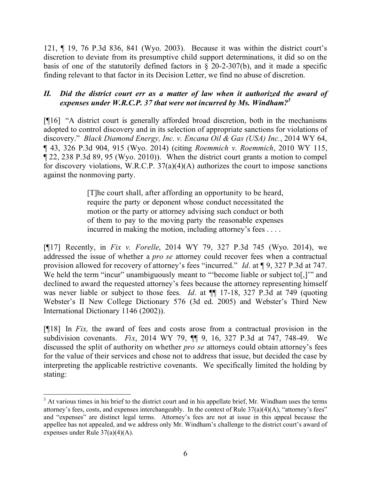121, ¶ 19, 76 P.3d 836, 841 (Wyo. 2003). Because it was within the district court's discretion to deviate from its presumptive child support determinations, it did so on the basis of one of the statutorily defined factors in  $\S$  20-2-307(b), and it made a specific finding relevant to that factor in its Decision Letter, we find no abuse of discretion.

# *II. Did the district court err as a matter of law when it authorized the award of expenses under W.R.C.P. 37 that were not incurred by Ms. Windham? 3*

[¶16] "A district court is generally afforded broad discretion, both in the mechanisms adopted to control discovery and in its selection of appropriate sanctions for violations of discovery." *Black Diamond Energy, Inc. v. Encana Oil & Gas (USA) Inc.*, 2014 WY 64, ¶ 43, 326 P.3d 904, 915 (Wyo. 2014) (citing *Roemmich v. Roemmich*, 2010 WY 115, ¶ 22, 238 P.3d 89, 95 (Wyo. 2010)). When the district court grants a motion to compel for discovery violations, W.R.C.P.  $37(a)(4)(A)$  authorizes the court to impose sanctions against the nonmoving party.

> [T]he court shall, after affording an opportunity to be heard, require the party or deponent whose conduct necessitated the motion or the party or attorney advising such conduct or both of them to pay to the moving party the reasonable expenses incurred in making the motion, including attorney's fees . . . .

[¶17] Recently, in *Fix v. Forelle*, 2014 WY 79, 327 P.3d 745 (Wyo. 2014), we addressed the issue of whether a *pro se* attorney could recover fees when a contractual provision allowed for recovery of attorney's fees "incurred." *Id*. at ¶ 9, 327 P.3d at 747. We held the term "incur" unambiguously meant to "become liable or subject to[,]" and declined to award the requested attorney's fees because the attorney representing himself was never liable or subject to those fees. *Id*. at ¶¶ 17-18, 327 P.3d at 749 (quoting Webster's II New College Dictionary 576 (3d ed. 2005) and Webster's Third New International Dictionary 1146 (2002)).

[¶18] In *Fix,* the award of fees and costs arose from a contractual provision in the subdivision covenants. *Fix*, 2014 WY 79, ¶¶ 9, 16, 327 P.3d at 747, 748-49. We discussed the split of authority on whether *pro se* attorneys could obtain attorney's fees for the value of their services and chose not to address that issue, but decided the case by interpreting the applicable restrictive covenants. We specifically limited the holding by stating:

  $3$  At various times in his brief to the district court and in his appellate brief, Mr. Windham uses the terms attorney's fees, costs, and expenses interchangeably. In the context of Rule  $37(a)(4)(A)$ , "attorney's fees" and "expenses" are distinct legal terms. Attorney's fees are not at issue in this appeal because the appellee has not appealed, and we address only Mr. Windham's challenge to the district court's award of expenses under Rule 37(a)(4)(A).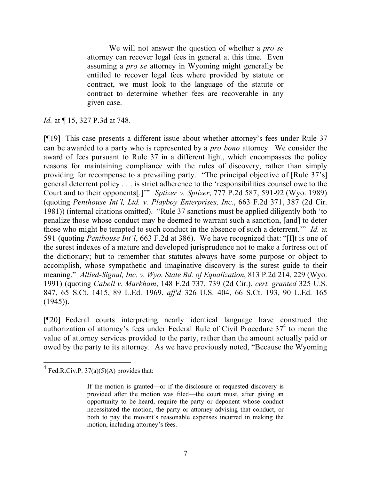We will not answer the question of whether a *pro se*  attorney can recover legal fees in general at this time. Even assuming a *pro se* attorney in Wyoming might generally be entitled to recover legal fees where provided by statute or contract, we must look to the language of the statute or contract to determine whether fees are recoverable in any given case.

*Id.* at ¶ 15, 327 P.3d at 748.

[¶19] This case presents a different issue about whether attorney's fees under Rule 37 can be awarded to a party who is represented by a *pro bono* attorney.We consider the award of fees pursuant to Rule 37 in a different light, which encompasses the policy reasons for maintaining compliance with the rules of discovery, rather than simply providing for recompense to a prevailing party. "The principal objective of [Rule 37's] general deterrent policy . . . is strict adherence to the 'responsibilities counsel owe to the Court and to their opponents[.]'" *Sptizer v. Sptizer*, 777 P.2d 587, 591-92 (Wyo. 1989) (quoting *Penthouse Int'l, Ltd. v. Playboy Enterprises, Inc*., 663 F.2d 371, 387 (2d Cir. 1981)) (internal citations omitted). "Rule 37 sanctions must be applied diligently both 'to penalize those whose conduct may be deemed to warrant such a sanction, [and] to deter those who might be tempted to such conduct in the absence of such a deterrent.'" *Id.* at 591 (quoting *Penthouse Int'l*, 663 F.2d at 386). We have recognized that: "[I]t is one of the surest indexes of a mature and developed jurisprudence not to make a fortress out of the dictionary; but to remember that statutes always have some purpose or object to accomplish, whose sympathetic and imaginative discovery is the surest guide to their meaning." *Allied-Signal, Inc. v. Wyo. State Bd. of Equalization*, 813 P.2d 214, 229 (Wyo. 1991) (quoting *Cabell v. Markham*, 148 F.2d 737, 739 (2d Cir.), *cert. granted* 325 U.S. 847, 65 S.Ct. 1415, 89 L.Ed. 1969, *aff'd* 326 U.S. 404, 66 S.Ct. 193, 90 L.Ed. 165 (1945)).

[¶20] Federal courts interpreting nearly identical language have construed the authorization of attorney's fees under Federal Rule of Civil Procedure  $37<sup>4</sup>$  to mean the value of attorney services provided to the party, rather than the amount actually paid or owed by the party to its attorney. As we have previously noted, "Because the Wyoming

 $4 \text{ Fed.R.Civ.P. } 37(a)(5)(A)$  provides that:

If the motion is granted—or if the disclosure or requested discovery is provided after the motion was filed—the court must, after giving an opportunity to be heard, require the party or deponent whose conduct necessitated the motion, the party or attorney advising that conduct, or both to pay the movant's reasonable expenses incurred in making the motion, including attorney's fees.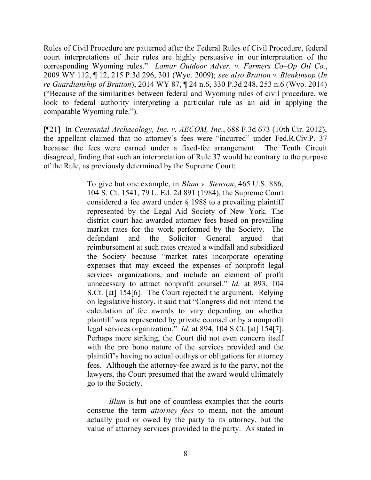Rules of Civil Procedure are patterned after the Federal Rules of Civil Procedure, federal court interpretations of their rules are highly persuasive in our interpretation of the corresponding Wyoming rules." *Lamar Outdoor Adver. v. Farmers Co–Op Oil Co.*, 2009 WY 112, ¶ 12, 215 P.3d 296, 301 (Wyo. 2009); *see also Bratton v. Blenkinsop* (*In re Guardianship of Bratton*), 2014 WY 87, ¶ 24 n.6, 330 P.3d 248, 253 n.6 (Wyo. 2014) ("Because of the similarities between federal and Wyoming rules of civil procedure, we look to federal authority interpreting a particular rule as an aid in applying the comparable Wyoming rule.").

[¶21] In *Centennial Archaeology, Inc. v. AECOM, Inc*., 688 F.3d 673 (10th Cir. 2012), the appellant claimed that no attorney's fees were "incurred" under Fed.R.Civ.P. 37 because the fees were earned under a fixed-fee arrangement. The Tenth Circuit disagreed, finding that such an interpretation of Rule 37 would be contrary to the purpose of the Rule, as previously determined by the Supreme Court:

> To give but one example, in *Blum v. Stenson*, 465 U.S. 886, 104 S. Ct. 1541, 79 L. Ed. 2d 891 (1984), the Supreme Court considered a fee award under § 1988 to a prevailing plaintiff represented by the Legal Aid Society of New York. The district court had awarded attorney fees based on prevailing market rates for the work performed by the Society. The defendant and the Solicitor General argued that reimbursement at such rates created a windfall and subsidized the Society because "market rates incorporate operating expenses that may exceed the expenses of nonprofit legal services organizations, and include an element of profit unnecessary to attract nonprofit counsel." *Id.* at 893, 104 S.Ct. [at] 154[6]. The Court rejected the argument. Relying on legislative history, it said that "Congress did not intend the calculation of fee awards to vary depending on whether plaintiff was represented by private counsel or by a nonprofit legal services organization." *Id.* at 894, 104 S.Ct. [at] 154[7]. Perhaps more striking, the Court did not even concern itself with the pro bono nature of the services provided and the plaintiff's having no actual outlays or obligations for attorney fees. Although the attorney-fee award is to the party, not the lawyers, the Court presumed that the award would ultimately go to the Society.

*Blum* is but one of countless examples that the courts construe the term *attorney fees* to mean, not the amount actually paid or owed by the party to its attorney, but the value of attorney services provided to the party. As stated in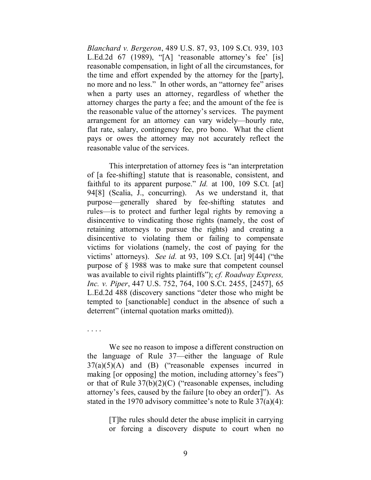*Blanchard v. Bergeron*, 489 U.S. 87, 93, 109 S.Ct. 939, 103 L.Ed.2d 67 (1989), "[A] 'reasonable attorney's fee' [is] reasonable compensation, in light of all the circumstances, for the time and effort expended by the attorney for the [party], no more and no less." In other words, an "attorney fee" arises when a party uses an attorney, regardless of whether the attorney charges the party a fee; and the amount of the fee is the reasonable value of the attorney's services. The payment arrangement for an attorney can vary widely—hourly rate, flat rate, salary, contingency fee, pro bono. What the client pays or owes the attorney may not accurately reflect the reasonable value of the services.

This interpretation of attorney fees is "an interpretation of [a fee-shifting] statute that is reasonable, consistent, and faithful to its apparent purpose." *Id.* at 100, 109 S.Ct. [at] 94[8] (Scalia, J., concurring). As we understand it, that purpose—generally shared by fee-shifting statutes and rules—is to protect and further legal rights by removing a disincentive to vindicating those rights (namely, the cost of retaining attorneys to pursue the rights) and creating a disincentive to violating them or failing to compensate victims for violations (namely, the cost of paying for the victims' attorneys). *See id.* at 93, 109 S.Ct. [at] 9[44] ("the purpose of § 1988 was to make sure that competent counsel was available to civil rights plaintiffs"); *cf. Roadway Express, Inc. v. Piper*, 447 U.S. 752, 764, 100 S.Ct. 2455, [2457], 65 L.Ed.2d 488 (discovery sanctions "deter those who might be tempted to [sanctionable] conduct in the absence of such a deterrent" (internal quotation marks omitted)).

. . . .

We see no reason to impose a different construction on the language of Rule 37—either the language of Rule  $37(a)(5)(A)$  and  $(B)$  ("reasonable expenses incurred in making [or opposing] the motion, including attorney's fees") or that of Rule  $37(b)(2)(C)$  ("reasonable expenses, including attorney's fees, caused by the failure [to obey an order]"). As stated in the 1970 advisory committee's note to Rule 37(a)(4):

> [T]he rules should deter the abuse implicit in carrying or forcing a discovery dispute to court when no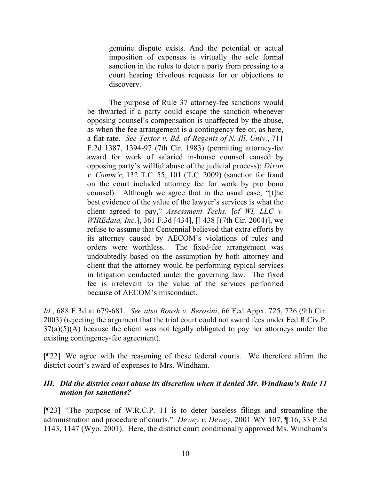genuine dispute exists. And the potential or actual imposition of expenses is virtually the sole formal sanction in the rules to deter a party from pressing to a court hearing frivolous requests for or objections to discovery.

The purpose of Rule 37 attorney-fee sanctions would be thwarted if a party could escape the sanction whenever opposing counsel's compensation is unaffected by the abuse, as when the fee arrangement is a contingency fee or, as here, a flat rate. *See Textor v. Bd. of Regents of N. Ill. Univ.*, 711 F.2d 1387, 1394-97 (7th Cir. 1983) (permitting attorney-fee award for work of salaried in-house counsel caused by opposing party's willful abuse of the judicial process); *Dixon v. Comm'r*, 132 T.C. 55, 101 (T.C. 2009) (sanction for fraud on the court included attorney fee for work by pro bono counsel). Although we agree that in the usual case, "[t]he best evidence of the value of the lawyer's services is what the client agreed to pay," *Assessment Techs.* [*of WI, LLC v. WIREdata, Inc.*], 361 F.3d [434], [] 438 [(7th Cir. 2004)], we refuse to assume that Centennial believed that extra efforts by its attorney caused by AECOM's violations of rules and orders were worthless. The fixed-fee arrangement was undoubtedly based on the assumption by both attorney and client that the attorney would be performing typical services in litigation conducted under the governing law. The fixed fee is irrelevant to the value of the services performed because of AECOM's misconduct.

*Id.*, 688 F.3d at 679-681. *See also Roush v. Berosini*, 66 Fed.Appx. 725, 726 (9th Cir. 2003) (rejecting the argument that the trial court could not award fees under Fed.R.Civ.P.  $37(a)(5)(A)$  because the client was not legally obligated to pay her attorneys under the existing contingency-fee agreement).

[¶22] We agree with the reasoning of these federal courts. We therefore affirm the district court's award of expenses to Mrs. Windham.

# *III. Did the district court abuse its discretion when it denied Mr. Windham's Rule 11 motion for sanctions?*

[¶23] "The purpose of W.R.C.P. 11 is to deter baseless filings and streamline the administration and procedure of courts." *Dewey v. Dewey*, 2001 WY 107, ¶ 16, 33 P.3d 1143, 1147 (Wyo. 2001). Here, the district court conditionally approved Ms. Windham's